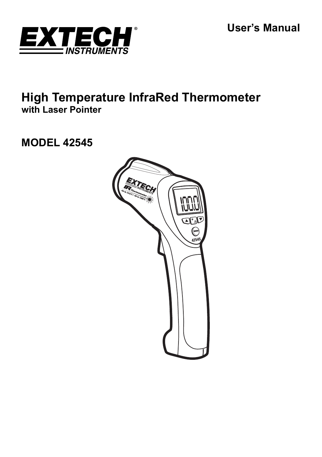**User's Manual** 



# **High Temperature InfraRed Thermometer with Laser Pointer**

# **MODEL 42545**

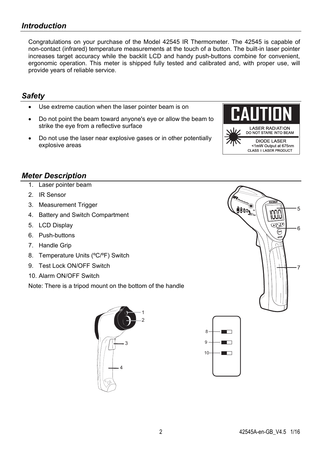### *Introduction*

Congratulations on your purchase of the Model 42545 IR Thermometer. The 42545 is capable of non-contact (infrared) temperature measurements at the touch of a button. The built-in laser pointer increases target accuracy while the backlit LCD and handy push-buttons combine for convenient, ergonomic operation. This meter is shipped fully tested and calibrated and, with proper use, will provide years of reliable service.

### *Safety*

- Use extreme caution when the laser pointer beam is on
- Do not point the beam toward anyone's eye or allow the beam to strike the eye from a reflective surface
- Do not use the laser near explosive gases or in other potentially explosive areas



5

ĥ

### *Meter Description*

- 1. Laser pointer beam
- 2. IR Sensor
- 3. Measurement Trigger
- 4. Battery and Switch Compartment
- 5. LCD Display
- 6. Push-buttons
- 7. Handle Grip
- 8. Temperature Units (ºC/ºF) Switch
- 9 Test Lock ON/OFF Switch
- 10. Alarm ON/OFF Switch

Note: There is a tripod mount on the bottom of the handle





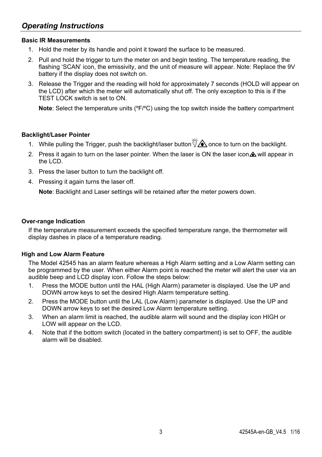### **Basic IR Measurements**

- 1. Hold the meter by its handle and point it toward the surface to be measured.
- 2. Pull and hold the trigger to turn the meter on and begin testing. The temperature reading, the flashing 'SCAN' icon, the emissivity, and the unit of measure will appear. Note: Replace the 9V battery if the display does not switch on.
- 3. Release the Trigger and the reading will hold for approximately 7 seconds (HOLD will appear on the LCD) after which the meter will automatically shut off. The only exception to this is if the TEST LOCK switch is set to ON.

**Note:** Select the temperature units ( $^{\circ}$ F/ $^{\circ}$ C) using the top switch inside the battery compartment

### **Backlight/Laser Pointer**

- 1. While pulling the Trigger, push the backlight/laser button  $\mathbb{I}^{\otimes}$  once to turn on the backlight.
- 2. Press it again to turn on the laser pointer. When the laser is ON the laser icon  $\triangle$  will appear in the LCD.
- 3. Press the laser button to turn the backlight off.
- 4. Pressing it again turns the laser off.

**Note**: Backlight and Laser settings will be retained after the meter powers down.

#### **Over-range Indication**

If the temperature measurement exceeds the specified temperature range, the thermometer will display dashes in place of a temperature reading.

### **High and Low Alarm Feature**

The Model 42545 has an alarm feature whereas a High Alarm setting and a Low Alarm setting can be programmed by the user. When either Alarm point is reached the meter will alert the user via an audible beep and LCD display icon. Follow the steps below:

- 1. Press the MODE button until the HAL (High Alarm) parameter is displayed. Use the UP and DOWN arrow keys to set the desired High Alarm temperature setting.
- 2. Press the MODE button until the LAL (Low Alarm) parameter is displayed. Use the UP and DOWN arrow keys to set the desired Low Alarm temperature setting.
- 3. When an alarm limit is reached, the audible alarm will sound and the display icon HIGH or LOW will appear on the LCD.
- 4. Note that if the bottom switch (located in the battery compartment) is set to OFF, the audible alarm will be disabled.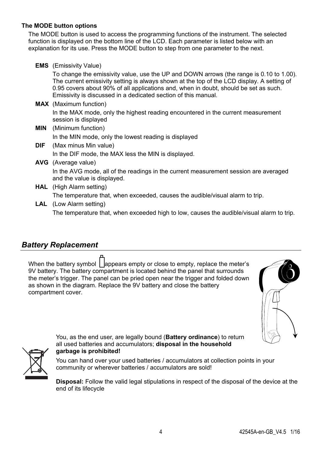#### **The MODE button options**

The MODE button is used to access the programming functions of the instrument. The selected function is displayed on the bottom line of the LCD. Each parameter is listed below with an explanation for its use. Press the MODE button to step from one parameter to the next.

**EMS** (Emissivity Value)

To change the emissivity value, use the UP and DOWN arrows (the range is 0.10 to 1.00). The current emissivity setting is always shown at the top of the LCD display. A setting of 0.95 covers about 90% of all applications and, when in doubt, should be set as such. Emissivity is discussed in a dedicated section of this manual.

**MAX** (Maximum function)

In the MAX mode, only the highest reading encountered in the current measurement session is displayed

- **MIN** (Minimum function) In the MIN mode, only the lowest reading is displayed
- **DIF** (Max minus Min value) In the DIF mode, the MAX less the MIN is displayed.
- **AVG** (Average value) In the AVG mode, all of the readings in the current measurement session are averaged and the value is displayed.
- **HAL** (High Alarm setting) The temperature that, when exceeded, causes the audible/visual alarm to trip.
- **LAL** (Low Alarm setting)

The temperature that, when exceeded high to low, causes the audible/visual alarm to trip.

### *Battery Replacement*

When the battery symbol  $\parallel$  appears empty or close to empty, replace the meter's 9V battery. The battery compartment is located behind the panel that surrounds the meter's trigger. The panel can be pried open near the trigger and folded down as shown in the diagram. Replace the 9V battery and close the battery compartment cover.





You, as the end user, are legally bound (**Battery ordinance**) to return all used batteries and accumulators; **disposal in the household garbage is prohibited!**

You can hand over your used batteries / accumulators at collection points in your community or wherever batteries / accumulators are sold!

**Disposal:** Follow the valid legal stipulations in respect of the disposal of the device at the end of its lifecycle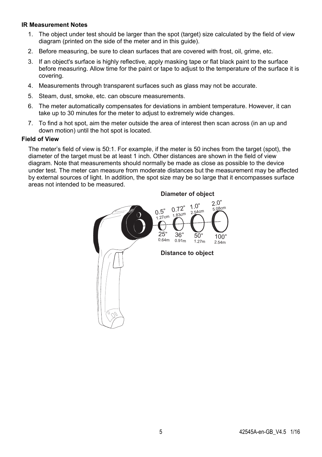#### **IR Measurement Notes**

- 1. The object under test should be larger than the spot (target) size calculated by the field of view diagram (printed on the side of the meter and in this guide).
- 2. Before measuring, be sure to clean surfaces that are covered with frost, oil, grime, etc.
- 3. If an object's surface is highly reflective, apply masking tape or flat black paint to the surface before measuring. Allow time for the paint or tape to adjust to the temperature of the surface it is covering.
- 4. Measurements through transparent surfaces such as glass may not be accurate.
- 5. Steam, dust, smoke, etc. can obscure measurements.
- 6. The meter automatically compensates for deviations in ambient temperature. However, it can take up to 30 minutes for the meter to adjust to extremely wide changes.
- 7. To find a hot spot, aim the meter outside the area of interest then scan across (in an up and down motion) until the hot spot is located.

#### **Field of View**

The meter's field of view is 50:1. For example, if the meter is 50 inches from the target (spot), the diameter of the target must be at least 1 inch. Other distances are shown in the field of view diagram. Note that measurements should normally be made as close as possible to the device under test. The meter can measure from moderate distances but the measurement may be affected by external sources of light. In addition, the spot size may be so large that it encompasses surface areas not intended to be measured.



**Diameter of object**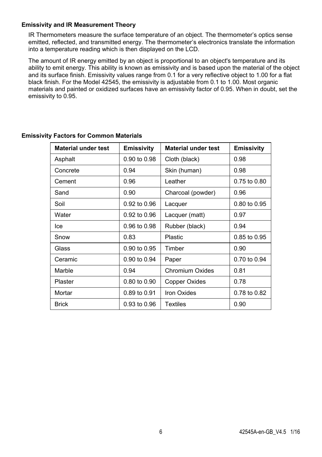#### **Emissivity and IR Measurement Theory**

IR Thermometers measure the surface temperature of an object. The thermometer's optics sense emitted, reflected, and transmitted energy. The thermometer's electronics translate the information into a temperature reading which is then displayed on the LCD.

The amount of IR energy emitted by an object is proportional to an object's temperature and its ability to emit energy. This ability is known as emissivity and is based upon the material of the object and its surface finish. Emissivity values range from 0.1 for a very reflective object to 1.00 for a flat black finish. For the Model 42545, the emissivity is adjustable from 0.1 to 1.00. Most organic materials and painted or oxidized surfaces have an emissivity factor of 0.95. When in doubt, set the emissivity to 0.95.

| <b>Material under test</b> | <b>Emissivity</b> | <b>Material under test</b> | <b>Emissivity</b> |
|----------------------------|-------------------|----------------------------|-------------------|
| Asphalt                    | 0.90 to 0.98      | Cloth (black)              | 0.98              |
| Concrete                   | 0.94              | Skin (human)               | 0.98              |
| Cement                     | 0.96              | Leather                    | 0.75 to 0.80      |
| Sand                       | 0.90              | Charcoal (powder)          | 0.96              |
| Soil                       | 0.92 to 0.96      | Lacquer                    | 0.80 to 0.95      |
| Water                      | 0.92 to 0.96      | Lacquer (matt)             | 0.97              |
| lce                        | 0.96 to 0.98      | Rubber (black)             | 0.94              |
| Snow                       | 0.83              | Plastic                    | 0.85 to 0.95      |
| Glass                      | 0.90 to 0.95      | Timber                     | 0.90              |
| Ceramic                    | 0.90 to 0.94      | Paper                      | 0.70 to 0.94      |
| Marble                     | 0.94              | <b>Chromium Oxides</b>     | 0.81              |
| Plaster                    | 0.80 to 0.90      | Copper Oxides              | 0.78              |
| Mortar                     | 0.89 to 0.91      | <b>Iron Oxides</b>         | 0.78 to 0.82      |
| <b>Brick</b>               | 0.93 to 0.96      | Textiles                   | 0.90              |

### **Emissivity Factors for Common Materials**